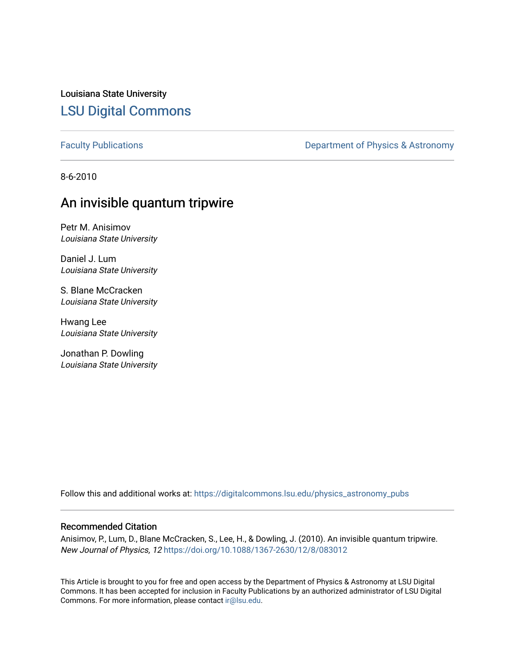Louisiana State University [LSU Digital Commons](https://digitalcommons.lsu.edu/)

[Faculty Publications](https://digitalcommons.lsu.edu/physics_astronomy_pubs) **Exercise 2** Constant Department of Physics & Astronomy

8-6-2010

### An invisible quantum tripwire

Petr M. Anisimov Louisiana State University

Daniel J. Lum Louisiana State University

S. Blane McCracken Louisiana State University

Hwang Lee Louisiana State University

Jonathan P. Dowling Louisiana State University

Follow this and additional works at: [https://digitalcommons.lsu.edu/physics\\_astronomy\\_pubs](https://digitalcommons.lsu.edu/physics_astronomy_pubs?utm_source=digitalcommons.lsu.edu%2Fphysics_astronomy_pubs%2F3136&utm_medium=PDF&utm_campaign=PDFCoverPages) 

#### Recommended Citation

Anisimov, P., Lum, D., Blane McCracken, S., Lee, H., & Dowling, J. (2010). An invisible quantum tripwire. New Journal of Physics, 12 <https://doi.org/10.1088/1367-2630/12/8/083012>

This Article is brought to you for free and open access by the Department of Physics & Astronomy at LSU Digital Commons. It has been accepted for inclusion in Faculty Publications by an authorized administrator of LSU Digital Commons. For more information, please contact [ir@lsu.edu](mailto:ir@lsu.edu).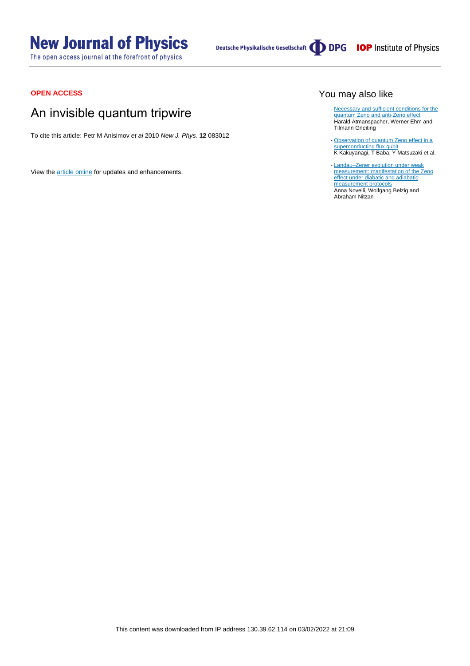# **New Journal of Physics**

The open access journal at the forefront of physics

Deutsche Physikalische Gesellschaft **DDPG** IOP Institute of Physics

#### **OPEN ACCESS**

## An invisible quantum tripwire

To cite this article: Petr M Anisimov et al 2010 New J. Phys. **12** 083012

View the [article online](https://doi.org/10.1088/1367-2630/12/8/083012) for updates and enhancements.

#### You may also like

- [Necessary and sufficient conditions for the](https://iopscience.iop.org/article/10.1088/0305-4470/36/38/307) [quantum Zeno and anti-Zeno effect](https://iopscience.iop.org/article/10.1088/0305-4470/36/38/307) Harald Atmanspacher, Werner Ehm and Tilmann Gneiting
- [Observation of quantum Zeno effect in a](https://iopscience.iop.org/article/10.1088/1367-2630/17/6/063035) [superconducting flux qubit](https://iopscience.iop.org/article/10.1088/1367-2630/17/6/063035) K Kakuyanagi, T Baba, Y Matsuzaki et al. -
- [Landau–Zener evolution under weak](https://iopscience.iop.org/article/10.1088/1367-2630/17/1/013001) [measurement: manifestation of the Zeno](https://iopscience.iop.org/article/10.1088/1367-2630/17/1/013001) [effect under diabatic and adiabatic](https://iopscience.iop.org/article/10.1088/1367-2630/17/1/013001) [measurement protocols](https://iopscience.iop.org/article/10.1088/1367-2630/17/1/013001) Anna Novelli, Wolfgang Belzig and Abraham Nitzan -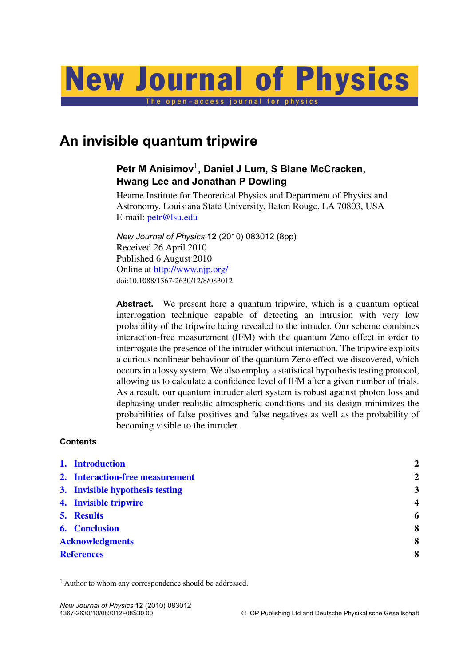

# **An invisible quantum tripwire**

### **Petr M Anisimov**<sup>1</sup> **, Daniel J Lum, S Blane McCracken, Hwang Lee and Jonathan P Dowling**

Hearne Institute for Theoretical Physics and Department of Physics and Astronomy, Louisiana State University, Baton Rouge, LA 70803, USA E-mail: [petr@lsu.edu](mailto:petr@lsu.edu)

*New Journal of Physics* **12** (2010) 083012 (8pp) Received 26 April 2010 Published 6 August 2010 Online at <http://www.njp.org/> doi:10.1088/1367-2630/12/8/083012

**Abstract.** We present here a quantum tripwire, which is a quantum optical interrogation technique capable of detecting an intrusion with very low probability of the tripwire being revealed to the intruder. Our scheme combines interaction-free measurement (IFM) with the quantum Zeno effect in order to interrogate the presence of the intruder without interaction. The tripwire exploits a curious nonlinear behaviour of the quantum Zeno effect we discovered, which occurs in a lossy system. We also employ a statistical hypothesis testing protocol, allowing us to calculate a confidence level of IFM after a given number of trials. As a result, our quantum intruder alert system is robust against photon loss and dephasing under realistic atmospheric conditions and its design minimizes the probabilities of false positives and false negatives as well as the probability of becoming visible to the intruder.

#### **Contents**

| 1. Introduction                 | $\overline{2}$          |
|---------------------------------|-------------------------|
| 2. Interaction-free measurement | $\overline{2}$          |
| 3. Invisible hypothesis testing | 3                       |
| 4. Invisible tripwire           | $\overline{\mathbf{4}}$ |
| 5. Results                      | 6                       |
| <b>6.</b> Conclusion            | 8                       |
| <b>Acknowledgments</b>          | 8                       |
| <b>References</b>               | 8                       |
|                                 |                         |

<sup>1</sup> Author to whom any correspondence should be addressed.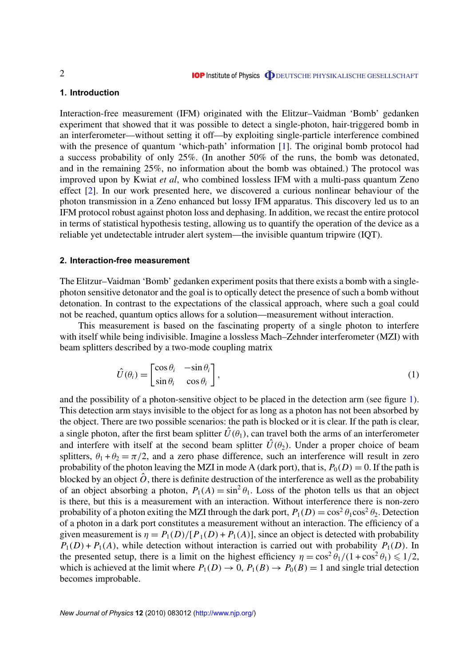#### <span id="page-3-0"></span>**1. Introduction**

Interaction-free measurement (IFM) originated with the Elitzur–Vaidman 'Bomb' gedanken experiment that showed that it was possible to detect a single-photon, hair-triggered bomb in an interferometer—without setting it off—by exploiting single-particle interference combined with the presence of quantum 'which-path' information [\[1\]](#page-9-0). The original bomb protocol had a success probability of only 25%. (In another 50% of the runs, the bomb was detonated, and in the remaining 25%, no information about the bomb was obtained.) The protocol was improved upon by Kwiat *et al*, who combined lossless IFM with a multi-pass quantum Zeno effect [\[2\]](#page-9-0). In our work presented here, we discovered a curious nonlinear behaviour of the photon transmission in a Zeno enhanced but lossy IFM apparatus. This discovery led us to an IFM protocol robust against photon loss and dephasing. In addition, we recast the entire protocol in terms of statistical hypothesis testing, allowing us to quantify the operation of the device as a reliable yet undetectable intruder alert system—the invisible quantum tripwire (IQT).

#### **2. Interaction-free measurement**

The Elitzur–Vaidman 'Bomb' gedanken experiment posits that there exists a bomb with a singlephoton sensitive detonator and the goal is to optically detect the presence of such a bomb without detonation. In contrast to the expectations of the classical approach, where such a goal could not be reached, quantum optics allows for a solution—measurement without interaction.

This measurement is based on the fascinating property of a single photon to interfere with itself while being indivisible. Imagine a lossless Mach–Zehnder interferometer (MZI) with beam splitters described by a two-mode coupling matrix

$$
\hat{U}(\theta_i) = \begin{bmatrix} \cos \theta_i & -\sin \theta_i \\ \sin \theta_i & \cos \theta_i \end{bmatrix},\tag{1}
$$

and the possibility of a photon-sensitive object to be placed in the detection arm (see figure [1\)](#page-4-0). This detection arm stays invisible to the object for as long as a photon has not been absorbed by the object. There are two possible scenarios: the path is blocked or it is clear. If the path is clear, a single photon, after the first beam splitter  $\hat{U}(\theta_1)$ , can travel both the arms of an interferometer and interfere with itself at the second beam splitter  $\hat{U}(\theta_2)$ . Under a proper choice of beam splitters,  $\theta_1 + \theta_2 = \pi/2$ , and a zero phase difference, such an interference will result in zero probability of the photon leaving the MZI in mode A (dark port), that is,  $P_0(D) = 0$ . If the path is blocked by an object  $\hat{O}$ , there is definite destruction of the interference as well as the probability of an object absorbing a photon,  $P_1(A) = \sin^2 \theta_1$ . Loss of the photon tells us that an object is there, but this is a measurement with an interaction. Without interference there is non-zero probability of a photon exiting the MZI through the dark port,  $P_1(D) = \cos^2 \theta_1 \cos^2 \theta_2$ . Detection of a photon in a dark port constitutes a measurement without an interaction. The efficiency of a given measurement is  $\eta = P_1(D)/[P_1(D) + P_1(A)]$ , since an object is detected with probability  $P_1(D) + P_1(A)$ , while detection without interaction is carried out with probability  $P_1(D)$ . In the presented setup, there is a limit on the highest efficiency  $\eta = \cos^2 \theta_1/(1 + \cos^2 \theta_1) \leq 1/2$ , which is achieved at the limit where  $P_1(D) \to 0$ ,  $P_1(B) \to P_0(B) = 1$  and single trial detection becomes improbable.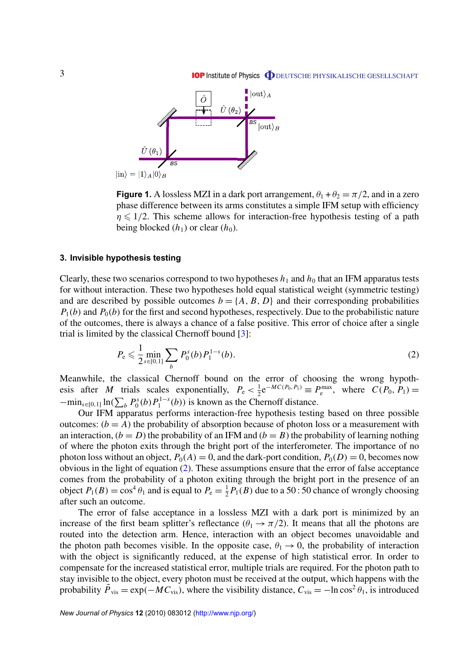<span id="page-4-0"></span>

**Figure 1.** A lossless MZI in a dark port arrangement,  $\theta_1 + \theta_2 = \pi/2$ , and in a zero phase difference between its arms constitutes a simple IFM setup with efficiency  $\eta \leq 1/2$ . This scheme allows for interaction-free hypothesis testing of a path being blocked  $(h_1)$  or clear  $(h_0)$ .

#### **3. Invisible hypothesis testing**

Clearly, these two scenarios correspond to two hypotheses  $h_1$  and  $h_0$  that an IFM apparatus tests for without interaction. These two hypotheses hold equal statistical weight (symmetric testing) and are described by possible outcomes  $b = \{A, B, D\}$  and their corresponding probabilities  $P_1(b)$  and  $P_0(b)$  for the first and second hypotheses, respectively. Due to the probabilistic nature of the outcomes, there is always a chance of a false positive. This error of choice after a single trial is limited by the classical Chernoff bound [\[3\]](#page-9-0):

$$
P_e \leq \frac{1}{2} \min_{s \in [0,1]} \sum_b P_0^s(b) P_1^{1-s}(b). \tag{2}
$$

Meanwhile, the classical Chernoff bound on the error of choosing the wrong hypothesis after *M* trials scales exponentially,  $P_e < \frac{1}{2}$  $P_e^{\max}$ , where  $C(P_0, P_1) =$  $-\min_{s \in [0,1]} \ln(\sum_b P_0^s(b) P_1^{1-s})$  $I_1^{1-s}(b)$ ) is known as the Chernoff distance.

Our IFM apparatus performs interaction-free hypothesis testing based on three possible outcomes:  $(b = A)$  the probability of absorption because of photon loss or a measurement with an interaction,  $(b = D)$  the probability of an IFM and  $(b = B)$  the probability of learning nothing of where the photon exits through the bright port of the interferometer. The importance of no photon loss without an object,  $P_0(A) = 0$ , and the dark-port condition,  $P_0(D) = 0$ , becomes now obvious in the light of equation (2). These assumptions ensure that the error of false acceptance comes from the probability of a photon exiting through the bright port in the presence of an object  $P_1(B) = \cos^4 \theta_1$  and is equal to  $P_e = \frac{1}{2}$  $\frac{1}{2}P_1(B)$  due to a 50 : 50 chance of wrongly choosing after such an outcome.

The error of false acceptance in a lossless MZI with a dark port is minimized by an increase of the first beam splitter's reflectance  $(\theta_1 \rightarrow \pi/2)$ . It means that all the photons are routed into the detection arm. Hence, interaction with an object becomes unavoidable and the photon path becomes visible. In the opposite case,  $\theta_1 \rightarrow 0$ , the probability of interaction with the object is significantly reduced, at the expense of high statistical error. In order to compensate for the increased statistical error, multiple trials are required. For the photon path to stay invisible to the object, every photon must be received at the output, which happens with the probability  $\overline{P}_{\text{vis}} = \exp(-MC_{\text{vis}})$ , where the visibility distance,  $C_{\text{vis}} = -\ln \cos^2 \theta_1$ , is introduced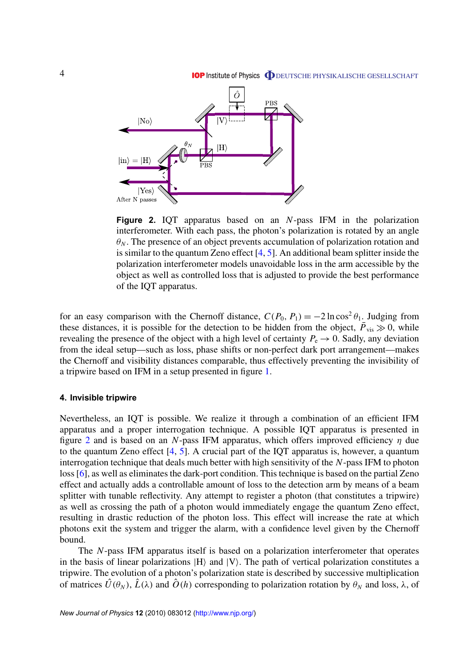**IOP** Institute of Physics **ODEUTSCHE PHYSIKALISCHE GESELLSCHAFT** 

<span id="page-5-0"></span>

**Figure 2.** IQT apparatus based on an *N*-pass IFM in the polarization interferometer. With each pass, the photon's polarization is rotated by an angle  $\theta_N$ . The presence of an object prevents accumulation of polarization rotation and is similar to the quantum Zeno effect [\[4,](#page-9-0) [5\]](#page-9-0). An additional beam splitter inside the polarization interferometer models unavoidable loss in the arm accessible by the object as well as controlled loss that is adjusted to provide the best performance of the IQT apparatus.

for an easy comparison with the Chernoff distance,  $C(P_0, P_1) = -2 \ln \cos^2 \theta_1$ . Judging from these distances, it is possible for the detection to be hidden from the object,  $\vec{P}_{vis} \gg 0$ , while revealing the presence of the object with a high level of certainty  $P_e \rightarrow 0$ . Sadly, any deviation from the ideal setup—such as loss, phase shifts or non-perfect dark port arrangement—makes the Chernoff and visibility distances comparable, thus effectively preventing the invisibility of a tripwire based on IFM in a setup presented in figure [1.](#page-4-0)

#### **4. Invisible tripwire**

Nevertheless, an IQT is possible. We realize it through a combination of an efficient IFM apparatus and a proper interrogation technique. A possible IQT apparatus is presented in figure 2 and is based on an *N*-pass IFM apparatus, which offers improved efficiency  $\eta$  due to the quantum Zeno effect [\[4,](#page-9-0) [5\]](#page-9-0). A crucial part of the IQT apparatus is, however, a quantum interrogation technique that deals much better with high sensitivity of the *N*-pass IFM to photon loss [\[6\]](#page-9-0), as well as eliminates the dark-port condition. This technique is based on the partial Zeno effect and actually adds a controllable amount of loss to the detection arm by means of a beam splitter with tunable reflectivity. Any attempt to register a photon (that constitutes a tripwire) as well as crossing the path of a photon would immediately engage the quantum Zeno effect, resulting in drastic reduction of the photon loss. This effect will increase the rate at which photons exit the system and trigger the alarm, with a confidence level given by the Chernoff bound.

The *N*-pass IFM apparatus itself is based on a polarization interferometer that operates in the basis of linear polarizations  $|H\rangle$  and  $|V\rangle$ . The path of vertical polarization constitutes a tripwire. The evolution of a photon's polarization state is described by successive multiplication of matrices  $\hat{U}(\theta_N)$ ,  $\hat{L}(\lambda)$  and  $\hat{O}(h)$  corresponding to polarization rotation by  $\theta_N$  and loss,  $\lambda$ , of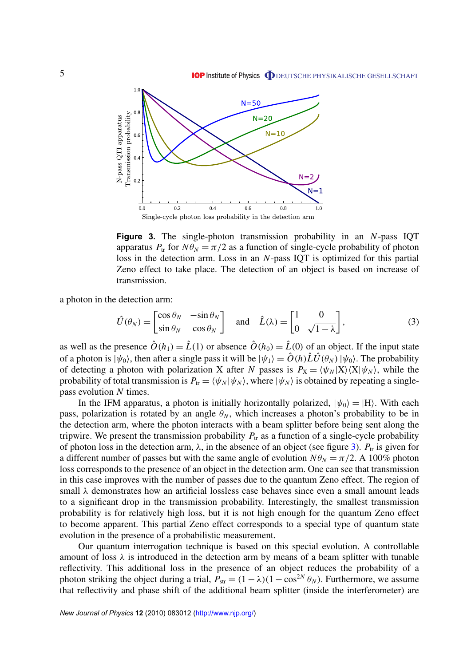<span id="page-6-0"></span>

**Figure 3.** The single-photon transmission probability in an *N*-pass IQT apparatus  $P_{tr}$  for  $N\theta_N = \pi/2$  as a function of single-cycle probability of photon loss in the detection arm. Loss in an *N*-pass IQT is optimized for this partial Zeno effect to take place. The detection of an object is based on increase of transmission.

a photon in the detection arm:

$$
\hat{U}(\theta_N) = \begin{bmatrix} \cos \theta_N & -\sin \theta_N \\ \sin \theta_N & \cos \theta_N \end{bmatrix} \text{ and } \hat{L}(\lambda) = \begin{bmatrix} 1 & 0 \\ 0 & \sqrt{1 - \lambda} \end{bmatrix},
$$
\n(3)

as well as the presence  $\hat{O}(h_1) = \hat{L}(1)$  or absence  $\hat{O}(h_0) = \hat{L}(0)$  of an object. If the input state of a photon is  $|\psi_0\rangle$ , then after a single pass it will be  $|\psi_1\rangle = \hat{O}(h)\hat{L}\hat{U}(\theta_N)|\psi_0\rangle$ . The probability of detecting a photon with polarization X after *N* passes is  $P_X = \langle \psi_N | X \rangle \langle X | \psi_N \rangle$ , while the probability of total transmission is  $P_{tr} = \langle \psi_N | \psi_N \rangle$ , where  $| \psi_N \rangle$  is obtained by repeating a singlepass evolution *N* times.

In the IFM apparatus, a photon is initially horizontally polarized,  $|\psi_0\rangle = |H\rangle$ . With each pass, polarization is rotated by an angle  $\theta_N$ , which increases a photon's probability to be in the detection arm, where the photon interacts with a beam splitter before being sent along the tripwire. We present the transmission probability  $P_{tr}$  as a function of a single-cycle probability of photon loss in the detection arm,  $\lambda$ , in the absence of an object (see figure 3).  $P_{tr}$  is given for a different number of passes but with the same angle of evolution  $N\theta_N = \pi/2$ . A 100% photon loss corresponds to the presence of an object in the detection arm. One can see that transmission in this case improves with the number of passes due to the quantum Zeno effect. The region of small  $\lambda$  demonstrates how an artificial lossless case behaves since even a small amount leads to a significant drop in the transmission probability. Interestingly, the smallest transmission probability is for relatively high loss, but it is not high enough for the quantum Zeno effect to become apparent. This partial Zeno effect corresponds to a special type of quantum state evolution in the presence of a probabilistic measurement.

Our quantum interrogation technique is based on this special evolution. A controllable amount of loss  $\lambda$  is introduced in the detection arm by means of a beam splitter with tunable reflectivity. This additional loss in the presence of an object reduces the probability of a photon striking the object during a trial,  $\hat{P}_{str} = (1 - \lambda)(1 - \cos^{2N} \theta_N)$ . Furthermore, we assume that reflectivity and phase shift of the additional beam splitter (inside the interferometer) are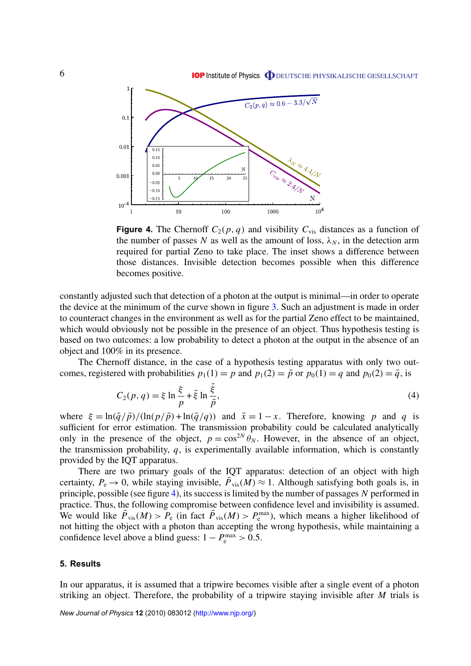<span id="page-7-0"></span>

**Figure 4.** The Chernoff  $C_2(p, q)$  and visibility  $C_{vis}$  distances as a function of the number of passes N as well as the amount of loss,  $\lambda_N$ , in the detection arm required for partial Zeno to take place. The inset shows a difference between those distances. Invisible detection becomes possible when this difference becomes positive.

constantly adjusted such that detection of a photon at the output is minimal—in order to operate the device at the minimum of the curve shown in figure [3.](#page-6-0) Such an adjustment is made in order to counteract changes in the environment as well as for the partial Zeno effect to be maintained, which would obviously not be possible in the presence of an object. Thus hypothesis testing is based on two outcomes: a low probability to detect a photon at the output in the absence of an object and 100% in its presence.

The Chernoff distance, in the case of a hypothesis testing apparatus with only two outcomes, registered with probabilities  $p_1(1) = p$  and  $p_1(2) = \bar{p}$  or  $p_0(1) = q$  and  $p_0(2) = \bar{q}$ , is

$$
C_2(p,q) = \xi \ln \frac{\xi}{p} + \bar{\xi} \ln \frac{\bar{\xi}}{\bar{p}},
$$
\n(4)

where  $\xi = \ln(\frac{\overline{q}}{\overline{p}})/(\ln(\frac{p}{\overline{p}}) + \ln(\frac{\overline{q}}{q}))$  and  $\overline{x} = 1 - x$ . Therefore, knowing *p* and *q* is sufficient for error estimation. The transmission probability could be calculated analytically only in the presence of the object,  $p = cos^{2N} \theta_N$ . However, in the absence of an object, the transmission probability, *q*, is experimentally available information, which is constantly provided by the IQT apparatus.

There are two primary goals of the IQT apparatus: detection of an object with high certainty,  $P_e \rightarrow 0$ , while staying invisible,  $\overline{P}_{vis}(M) \approx 1$ . Although satisfying both goals is, in principle, possible (see figure 4), its success is limited by the number of passages *N* performed in practice. Thus, the following compromise between confidence level and invisibility is assumed. We would like  $\bar{P}_{\text{vis}}(M) > P_{\text{e}}$  (in fact  $\bar{P}_{\text{vis}}(M) > P_{\text{e}}^{\text{max}}$ ), which means a higher likelihood of not hitting the object with a photon than accepting the wrong hypothesis, while maintaining a confidence level above a blind guess:  $1 - P_e^{\text{max}} > 0.5$ .

#### **5. Results**

In our apparatus, it is assumed that a tripwire becomes visible after a single event of a photon striking an object. Therefore, the probability of a tripwire staying invisible after *M* trials is

*New Journal of Physics* **12** (2010) 083012 [\(http://www.njp.org/\)](http://www.njp.org/)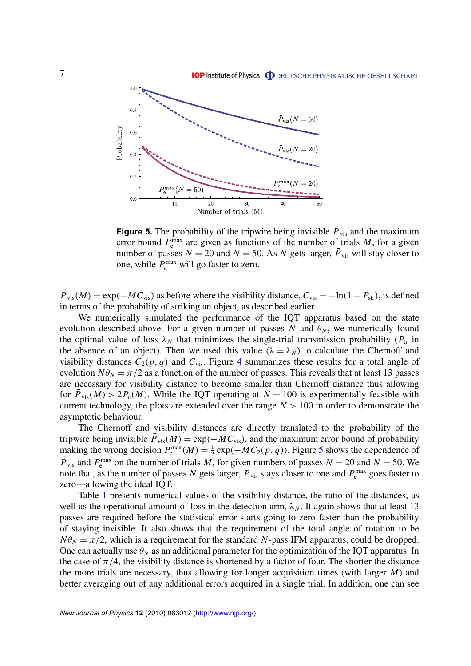

**Figure 5.** The probability of the tripwire being invisible  $\bar{P}_{vis}$  and the maximum error bound  $P_{\rm e}^{\rm max}$  are given as functions of the number of trials *M*, for a given number of passes  $N = 20$  and  $N = 50$ . As  $N$  gets larger,  $\overline{P}_{vis}$  will stay closer to one, while  $P_{\rm e}^{\rm max}$  will go faster to zero.

 $\bar{P}_{\text{vis}}(M) = \exp(-MC_{\text{vis}})$  as before where the visibility distance,  $C_{\text{vis}} = -\ln(1 - P_{\text{str}})$ , is defined in terms of the probability of striking an object, as described earlier.

We numerically simulated the performance of the IQT apparatus based on the state evolution described above. For a given number of passes *N* and  $\theta_N$ , we numerically found the optimal value of loss  $\lambda_N$  that minimizes the single-trial transmission probability ( $P_{tr}$  in the absence of an object). Then we used this value ( $\lambda = \lambda_N$ ) to calculate the Chernoff and visibility distances  $C_2(p, q)$  and  $C_{vis}$ . Figure [4](#page-7-0) summarizes these results for a total angle of evolution  $N\theta_N = \pi/2$  as a function of the number of passes. This reveals that at least 13 passes are necessary for visibility distance to become smaller than Chernoff distance thus allowing for  $\bar{P}_{\text{vis}}(M) > 2P_{\text{e}}(M)$ . While the IQT operating at  $N = 100$  is experimentally feasible with current technology, the plots are extended over the range  $N > 100$  in order to demonstrate the asymptotic behaviour.

The Chernoff and visibility distances are directly translated to the probability of the tripwire being invisible  $\bar{P}_{\text{vis}}(M) = \exp(-MC_{\text{vis}})$ , and the maximum error bound of probability making the wrong decision  $P_e^{\max}(M) = \frac{1}{2}$  $\frac{1}{2}$  exp( $-MC_2(p, q)$ ). Figure 5 shows the dependence of  $\overline{P}_{\text{vis}}$  and  $P_{\text{e}}^{\text{max}}$  on the number of trials  $\overline{M}$ , for given numbers of passes  $N = 20$  and  $\overline{N} = 50$ . We note that, as the number of passes *N* gets larger,  $\overline{P}_{vis}$  stays closer to one and  $P_e^{\text{max}}$  goes faster to zero—allowing the ideal IQT.

Table [1](#page-9-0) presents numerical values of the visibility distance, the ratio of the distances, as well as the operational amount of loss in the detection arm,  $\lambda_N$ . It again shows that at least 13 passes are required before the statistical error starts going to zero faster than the probability of staying invisible. It also shows that the requirement of the total angle of rotation to be  $N\theta_N = \pi/2$ , which is a requirement for the standard *N*-pass IFM apparatus, could be dropped. One can actually use  $\theta_N$  as an additional parameter for the optimization of the IQT apparatus. In the case of  $\pi/4$ , the visibility distance is shortened by a factor of four. The shorter the distance the more trials are necessary, thus allowing for longer acquisition times (with larger *M*) and better averaging out of any additional errors acquired in a single trial. In addition, one can see